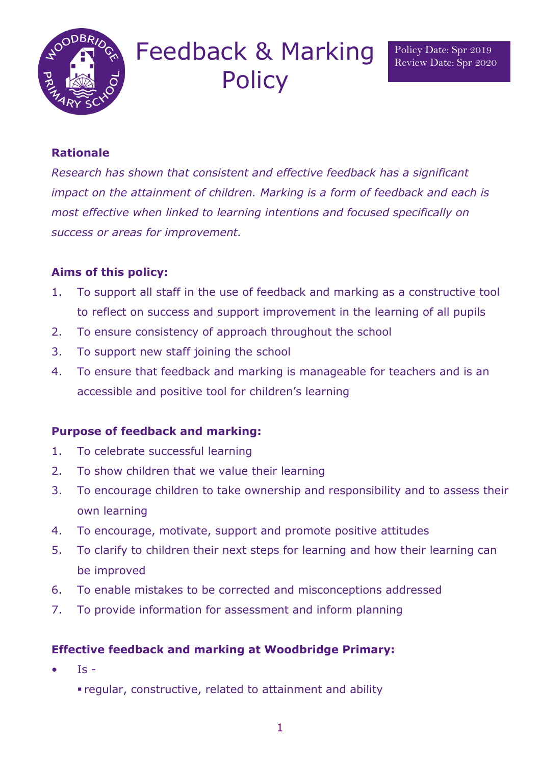

# Feedback & Marking **Policy**

# **Rationale**

*Research has shown that consistent and effective feedback has a significant impact on the attainment of children. Marking is a form of feedback and each is most effective when linked to learning intentions and focused specifically on success or areas for improvement.* 

# **Aims of this policy:**

- 1. To support all staff in the use of feedback and marking as a constructive tool to reflect on success and support improvement in the learning of all pupils
- 2. To ensure consistency of approach throughout the school
- 3. To support new staff joining the school
- 4. To ensure that feedback and marking is manageable for teachers and is an accessible and positive tool for children's learning

## **Purpose of feedback and marking:**

- 1. To celebrate successful learning
- 2. To show children that we value their learning
- 3. To encourage children to take ownership and responsibility and to assess their own learning
- 4. To encourage, motivate, support and promote positive attitudes
- 5. To clarify to children their next steps for learning and how their learning can be improved
- 6. To enable mistakes to be corrected and misconceptions addressed
- 7. To provide information for assessment and inform planning

## **Effective feedback and marking at Woodbridge Primary:**

- $\bullet$  Is
	- regular, constructive, related to attainment and ability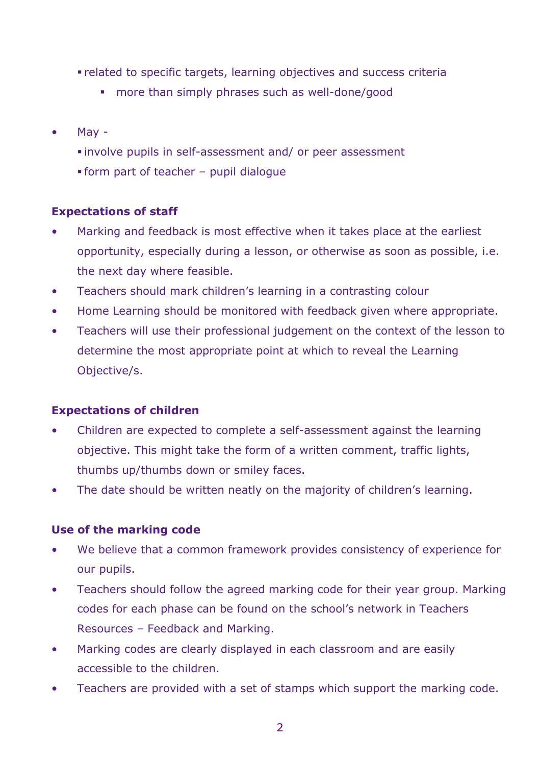- related to specific targets, learning objectives and success criteria
	- **nore than simply phrases such as well-done/good**
- May
	- involve pupils in self-assessment and/ or peer assessment
	- form part of teacher pupil dialogue

## **Expectations of staff**

- Marking and feedback is most effective when it takes place at the earliest opportunity, especially during a lesson, or otherwise as soon as possible, i.e. the next day where feasible.
- Teachers should mark children's learning in a contrasting colour
- Home Learning should be monitored with feedback given where appropriate.
- Teachers will use their professional judgement on the context of the lesson to determine the most appropriate point at which to reveal the Learning Objective/s.

## **Expectations of children**

- Children are expected to complete a self-assessment against the learning objective. This might take the form of a written comment, traffic lights, thumbs up/thumbs down or smiley faces.
- The date should be written neatly on the majority of children's learning.

## **Use of the marking code**

- We believe that a common framework provides consistency of experience for our pupils.
- Teachers should follow the agreed marking code for their year group. Marking codes for each phase can be found on the school's network in Teachers Resources – Feedback and Marking.
- Marking codes are clearly displayed in each classroom and are easily accessible to the children.
- Teachers are provided with a set of stamps which support the marking code.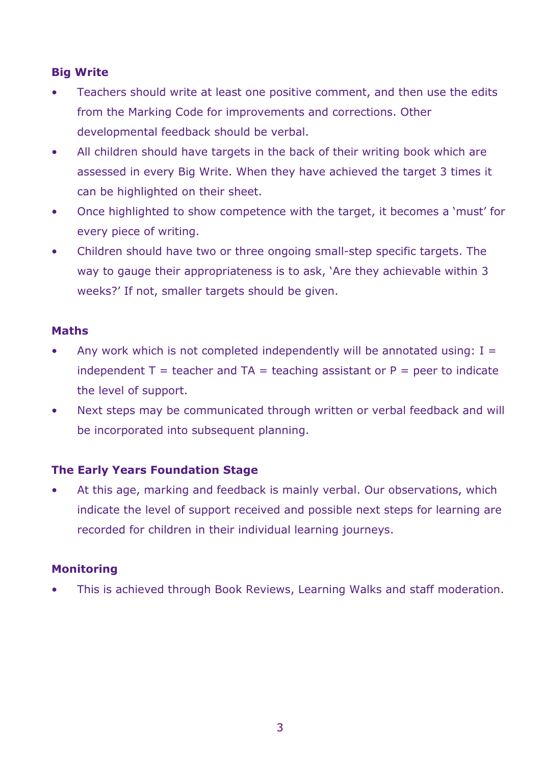# **Big Write**

- Teachers should write at least one positive comment, and then use the edits from the Marking Code for improvements and corrections. Other developmental feedback should be verbal.
- All children should have targets in the back of their writing book which are assessed in every Big Write. When they have achieved the target 3 times it can be highlighted on their sheet.
- Once highlighted to show competence with the target, it becomes a 'must' for every piece of writing.
- Children should have two or three ongoing small-step specific targets. The way to gauge their appropriateness is to ask, 'Are they achievable within 3 weeks?' If not, smaller targets should be given.

#### **Maths**

- Any work which is not completed independently will be annotated using:  $I =$ independent  $T =$  teacher and  $TA =$  teaching assistant or  $P =$  peer to indicate the level of support.
- Next steps may be communicated through written or verbal feedback and will be incorporated into subsequent planning.

## **The Early Years Foundation Stage**

• At this age, marking and feedback is mainly verbal. Our observations, which indicate the level of support received and possible next steps for learning are recorded for children in their individual learning journeys.

#### **Monitoring**

• This is achieved through Book Reviews, Learning Walks and staff moderation.